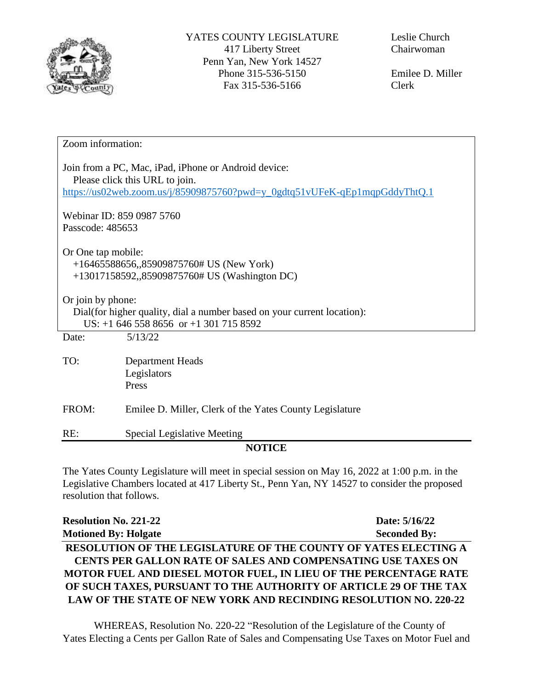

Emilee D. Miller Clerk

| Zoom information:                                                                                                                                                    |                                                         |  |
|----------------------------------------------------------------------------------------------------------------------------------------------------------------------|---------------------------------------------------------|--|
| Join from a PC, Mac, iPad, iPhone or Android device:<br>Please click this URL to join.<br>https://us02web.zoom.us/j/85909875760?pwd=y_0gdtq51vUFeK-qEp1mqpGddyThtQ.1 |                                                         |  |
| Webinar ID: 859 0987 5760                                                                                                                                            |                                                         |  |
| Passcode: 485653                                                                                                                                                     |                                                         |  |
| Or One tap mobile:<br>$+16465588656$ , 85909875760# US (New York)<br>+13017158592,,85909875760# US (Washington DC)                                                   |                                                         |  |
| Or join by phone:<br>Dial(for higher quality, dial a number based on your current location):<br>US: $+1$ 646 558 8656 or $+1$ 301 715 8592                           |                                                         |  |
| Date:                                                                                                                                                                | 5/13/22                                                 |  |
| TO:                                                                                                                                                                  | Department Heads<br>Legislators<br>Press                |  |
| FROM:                                                                                                                                                                | Emilee D. Miller, Clerk of the Yates County Legislature |  |
| RE:                                                                                                                                                                  | Special Legislative Meeting                             |  |
| <b>NOTICE</b>                                                                                                                                                        |                                                         |  |

The Yates County Legislature will meet in special session on May 16, 2022 at 1:00 p.m. in the Legislative Chambers located at 417 Liberty St., Penn Yan, NY 14527 to consider the proposed resolution that follows.

| <b>Resolution No. 221-22</b>                                      | Date: 5/16/22       |
|-------------------------------------------------------------------|---------------------|
| <b>Motioned By: Holgate</b>                                       | <b>Seconded By:</b> |
| RESOLUTION OF THE LEGISLATURE OF THE COUNTY OF YATES ELECTING A   |                     |
| CENTS PER GALLON RATE OF SALES AND COMPENSATING USE TAXES ON      |                     |
| MOTOR FUEL AND DIESEL MOTOR FUEL, IN LIEU OF THE PERCENTAGE RATE  |                     |
| OF SUCH TAXES, PURSUANT TO THE AUTHORITY OF ARTICLE 29 OF THE TAX |                     |
| LAW OF THE STATE OF NEW YORK AND RECINDING RESOLUTION NO. 220-22  |                     |

WHEREAS, Resolution No. 220-22 "Resolution of the Legislature of the County of Yates Electing a Cents per Gallon Rate of Sales and Compensating Use Taxes on Motor Fuel and